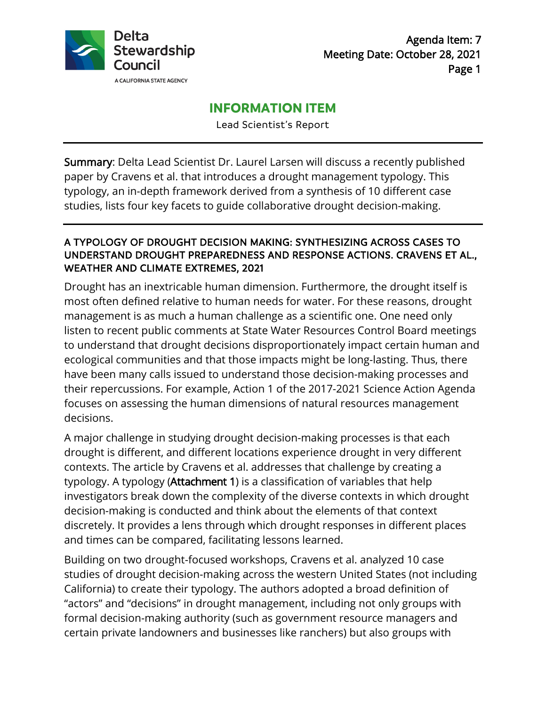

# **INFORMATION ITEM**

Lead Scientist's Report

Summary: Delta Lead Scientist Dr. Laurel Larsen will discuss a recently published paper by Cravens et al. that introduces a drought management typology. This typology, an in-depth framework derived from a synthesis of 10 different case studies, lists four key facets to guide collaborative drought decision-making.

## A TYPOLOGY OF DROUGHT DECISION MAKING: SYNTHESIZING ACROSS CASES TO UNDERSTAND DROUGHT PREPAREDNESS AND RESPONSE ACTIONS. CRAVENS ET AL., WEATHER AND CLIMATE EXTREMES, 2021

Drought has an inextricable human dimension. Furthermore, the drought itself is most often defined relative to human needs for water. For these reasons, drought management is as much a human challenge as a scientific one. One need only listen to recent public comments at State Water Resources Control Board meetings to understand that drought decisions disproportionately impact certain human and ecological communities and that those impacts might be long-lasting. Thus, there have been many calls issued to understand those decision-making processes and their repercussions. For example, Action 1 of the 2017-2021 Science Action Agenda focuses on assessing the human dimensions of natural resources management decisions.

A major challenge in studying drought decision-making processes is that each drought is different, and different locations experience drought in very different contexts. The article by Cravens et al. addresses that challenge by creating a typology. A typology (Attachment 1) is a classification of variables that help investigators break down the complexity of the diverse contexts in which drought decision-making is conducted and think about the elements of that context discretely. It provides a lens through which drought responses in different places and times can be compared, facilitating lessons learned.

Building on two drought-focused workshops, Cravens et al. analyzed 10 case studies of drought decision-making across the western United States (not including California) to create their typology. The authors adopted a broad definition of "actors" and "decisions" in drought management, including not only groups with formal decision-making authority (such as government resource managers and certain private landowners and businesses like ranchers) but also groups with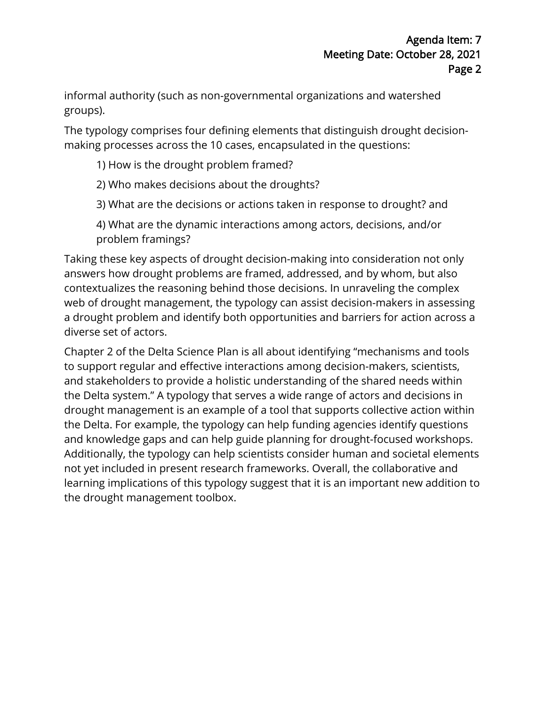informal authority (such as non-governmental organizations and watershed groups).

The typology comprises four defining elements that distinguish drought decisionmaking processes across the 10 cases, encapsulated in the questions:

- 1) How is the drought problem framed?
- 2) Who makes decisions about the droughts?
- 3) What are the decisions or actions taken in response to drought? and
- 4) What are the dynamic interactions among actors, decisions, and/or problem framings?

Taking these key aspects of drought decision-making into consideration not only answers how drought problems are framed, addressed, and by whom, but also contextualizes the reasoning behind those decisions. In unraveling the complex web of drought management, the typology can assist decision-makers in assessing a drought problem and identify both opportunities and barriers for action across a diverse set of actors.

Chapter 2 of the Delta Science Plan is all about identifying "mechanisms and tools to support regular and effective interactions among decision-makers, scientists, and stakeholders to provide a holistic understanding of the shared needs within the Delta system." A typology that serves a wide range of actors and decisions in drought management is an example of a tool that supports collective action within the Delta. For example, the typology can help funding agencies identify questions and knowledge gaps and can help guide planning for drought-focused workshops. Additionally, the typology can help scientists consider human and societal elements not yet included in present research frameworks. Overall, the collaborative and learning implications of this typology suggest that it is an important new addition to the drought management toolbox.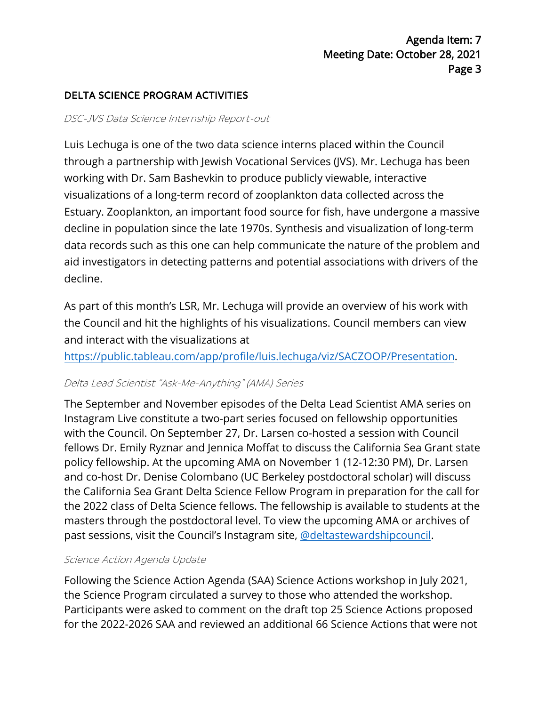## DELTA SCIENCE PROGRAM ACTIVITIES

#### DSC-JVS Data Science Internship Report-out

Luis Lechuga is one of the two data science interns placed within the Council through a partnership with Jewish Vocational Services (JVS). Mr. Lechuga has been working with Dr. Sam Bashevkin to produce publicly viewable, interactive visualizations of a long-term record of zooplankton data collected across the Estuary. Zooplankton, an important food source for fish, have undergone a massive decline in population since the late 1970s. Synthesis and visualization of long-term data records such as this one can help communicate the nature of the problem and aid investigators in detecting patterns and potential associations with drivers of the decline.

As part of this month's LSR, Mr. Lechuga will provide an overview of his work with the Council and hit the highlights of his visualizations. Council members can view and interact with the visualizations at

[https://public.tableau.com/app/profile/luis.lechuga/viz/SACZOOP/Presentation.](https://public.tableau.com/app/profile/luis.lechuga/viz/SACZOOP/Presentation)

#### Delta Lead Scientist "Ask-Me-Anything" (AMA) Series

The September and November episodes of the Delta Lead Scientist AMA series on Instagram Live constitute a two-part series focused on fellowship opportunities with the Council. On September 27, Dr. Larsen co-hosted a session with Council fellows Dr. Emily Ryznar and Jennica Moffat to discuss the California Sea Grant state policy fellowship. At the upcoming AMA on November 1 (12-12:30 PM), Dr. Larsen and co-host Dr. Denise Colombano (UC Berkeley postdoctoral scholar) will discuss the California Sea Grant Delta Science Fellow Program in preparation for the call for the 2022 class of Delta Science fellows. The fellowship is available to students at the masters through the postdoctoral level. To view the upcoming AMA or archives of past sessions, visit the Council's Instagram site, [@deltastewardshipcouncil.](https://www.instagram.com/deltastewardshipcouncil/?hl=en) 

#### Science Action Agenda Update

Following the Science Action Agenda (SAA) Science Actions workshop in July 2021, the Science Program circulated a survey to those who attended the workshop. Participants were asked to comment on the draft top 25 Science Actions proposed for the 2022-2026 SAA and reviewed an additional 66 Science Actions that were not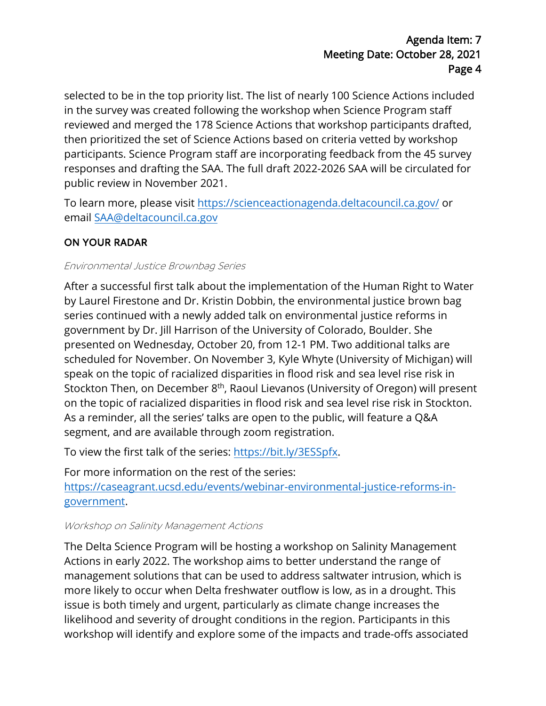selected to be in the top priority list. The list of nearly 100 Science Actions included in the survey was created following the workshop when Science Program staff reviewed and merged the 178 Science Actions that workshop participants drafted, then prioritized the set of Science Actions based on criteria vetted by workshop participants. Science Program staff are incorporating feedback from the 45 survey responses and drafting the SAA. The full draft 2022-2026 SAA will be circulated for public review in November 2021.

To learn more, please visit <https://scienceactionagenda.deltacouncil.ca.gov/> or email [SAA@deltacouncil.ca.gov](mailto:SAA@deltacouncil.ca.gov) 

# ON YOUR RADAR

## Environmental Justice Brownbag Series

After a successful first talk about the implementation of the Human Right to Water by Laurel Firestone and Dr. Kristin Dobbin, the environmental justice brown bag series continued with a newly added talk on environmental justice reforms in government by Dr. Jill Harrison of the University of Colorado, Boulder. She presented on Wednesday, October 20, from 12-1 PM. Two additional talks are scheduled for November. On November 3, Kyle Whyte (University of Michigan) will speak on the topic of racialized disparities in flood risk and sea level rise risk in Stockton Then, on December 8<sup>th</sup>, Raoul Lievanos (University of Oregon) will present on the topic of racialized disparities in flood risk and sea level rise risk in Stockton. As a reminder, all the series' talks are open to the public, will feature a Q&A segment, and are available through zoom registration.

To view the first talk of the series: [https://bit.ly/3ESSpfx.](https://bit.ly/3ESSpfx)

For more information on the rest of the series: [https://caseagrant.ucsd.edu/events/webinar-environmental-justice-reforms-in](https://caseagrant.ucsd.edu/events/webinar-environmental-justice-reforms-in-government)[government.](https://caseagrant.ucsd.edu/events/webinar-environmental-justice-reforms-in-government)

### Workshop on Salinity Management Actions

The Delta Science Program will be hosting a workshop on Salinity Management Actions in early 2022. The workshop aims to better understand the range of management solutions that can be used to address saltwater intrusion, which is more likely to occur when Delta freshwater outflow is low, as in a drought. This issue is both timely and urgent, particularly as climate change increases the likelihood and severity of drought conditions in the region. Participants in this workshop will identify and explore some of the impacts and trade-offs associated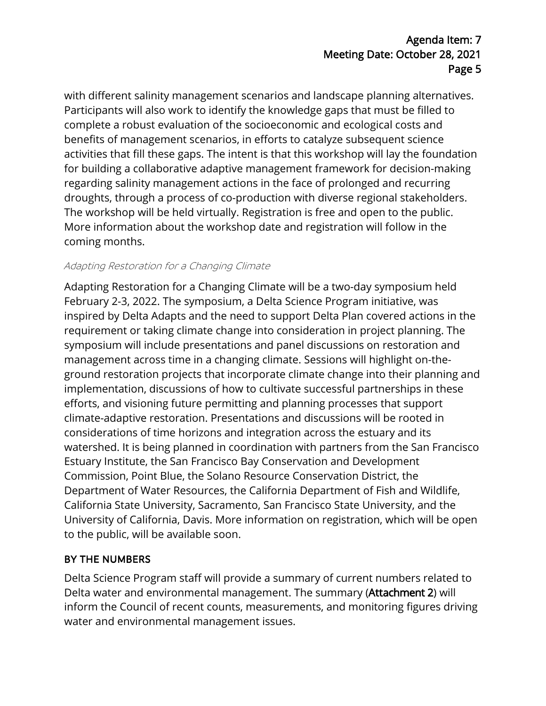# Agenda Item: 7 Meeting Date: October 28, 2021 Page 5

with different salinity management scenarios and landscape planning alternatives. Participants will also work to identify the knowledge gaps that must be filled to complete a robust evaluation of the socioeconomic and ecological costs and benefits of management scenarios, in efforts to catalyze subsequent science activities that fill these gaps. The intent is that this workshop will lay the foundation for building a collaborative adaptive management framework for decision-making regarding salinity management actions in the face of prolonged and recurring droughts, through a process of co-production with diverse regional stakeholders. The workshop will be held virtually. Registration is free and open to the public. More information about the workshop date and registration will follow in the coming months.

### Adapting Restoration for a Changing Climate

Adapting Restoration for a Changing Climate will be a two-day symposium held February 2-3, 2022. The symposium, a Delta Science Program initiative, was inspired by Delta Adapts and the need to support Delta Plan covered actions in the requirement or taking climate change into consideration in project planning. The symposium will include presentations and panel discussions on restoration and management across time in a changing climate. Sessions will highlight on-theground restoration projects that incorporate climate change into their planning and implementation, discussions of how to cultivate successful partnerships in these efforts, and visioning future permitting and planning processes that support climate-adaptive restoration. Presentations and discussions will be rooted in considerations of time horizons and integration across the estuary and its watershed. It is being planned in coordination with partners from the San Francisco Estuary Institute, the San Francisco Bay Conservation and Development Commission, Point Blue, the Solano Resource Conservation District, the Department of Water Resources, the California Department of Fish and Wildlife, California State University, Sacramento, San Francisco State University, and the University of California, Davis. More information on registration, which will be open to the public, will be available soon.

# BY THE NUMBERS

Delta Science Program staff will provide a summary of current numbers related to Delta water and environmental management. The summary (Attachment 2) will inform the Council of recent counts, measurements, and monitoring figures driving water and environmental management issues.